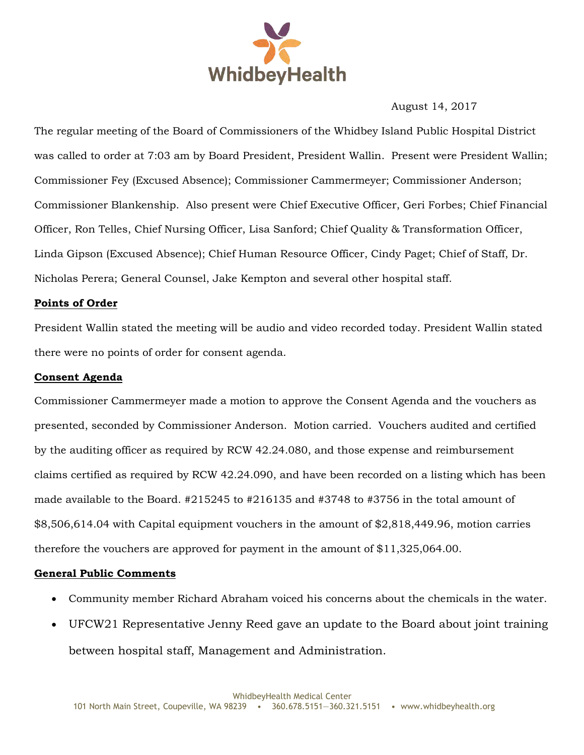

August 14, 2017

The regular meeting of the Board of Commissioners of the Whidbey Island Public Hospital District was called to order at 7:03 am by Board President, President Wallin. Present were President Wallin; Commissioner Fey (Excused Absence); Commissioner Cammermeyer; Commissioner Anderson; Commissioner Blankenship. Also present were Chief Executive Officer, Geri Forbes; Chief Financial Officer, Ron Telles, Chief Nursing Officer, Lisa Sanford; Chief Quality & Transformation Officer, Linda Gipson (Excused Absence); Chief Human Resource Officer, Cindy Paget; Chief of Staff, Dr. Nicholas Perera; General Counsel, Jake Kempton and several other hospital staff.

#### **Points of Order**

President Wallin stated the meeting will be audio and video recorded today. President Wallin stated there were no points of order for consent agenda.

### **Consent Agenda**

Commissioner Cammermeyer made a motion to approve the Consent Agenda and the vouchers as presented, seconded by Commissioner Anderson. Motion carried. Vouchers audited and certified by the auditing officer as required by RCW 42.24.080, and those expense and reimbursement claims certified as required by RCW 42.24.090, and have been recorded on a listing which has been made available to the Board. #215245 to #216135 and #3748 to #3756 in the total amount of \$8,506,614.04 with Capital equipment vouchers in the amount of \$2,818,449.96, motion carries therefore the vouchers are approved for payment in the amount of \$11,325,064.00.

## **General Public Comments**

- Community member Richard Abraham voiced his concerns about the chemicals in the water.
- UFCW21 Representative Jenny Reed gave an update to the Board about joint training between hospital staff, Management and Administration.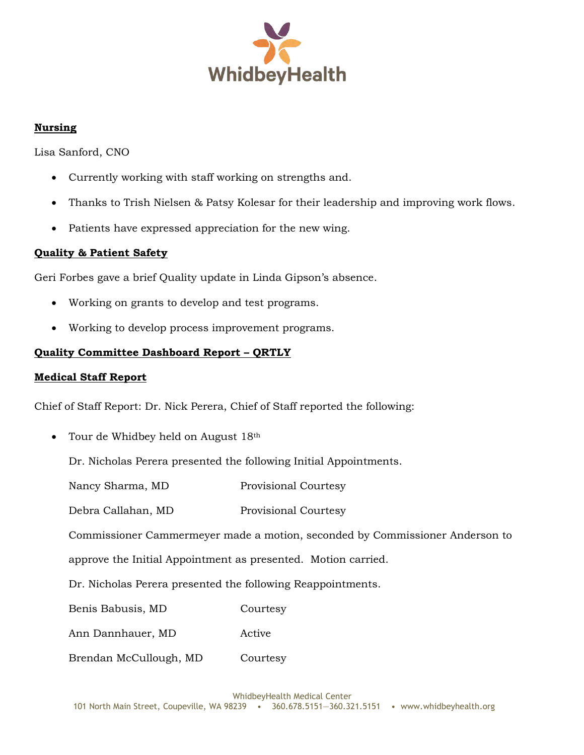

# **Nursing**

Lisa Sanford, CNO

- Currently working with staff working on strengths and.
- Thanks to Trish Nielsen & Patsy Kolesar for their leadership and improving work flows.
- Patients have expressed appreciation for the new wing.

## **Quality & Patient Safety**

Geri Forbes gave a brief Quality update in Linda Gipson's absence.

- Working on grants to develop and test programs.
- Working to develop process improvement programs.

## **Quality Committee Dashboard Report – QRTLY**

### **Medical Staff Report**

Chief of Staff Report: Dr. Nick Perera, Chief of Staff reported the following:

• Tour de Whidbey held on August 18<sup>th</sup>

Dr. Nicholas Perera presented the following Initial Appointments.

Nancy Sharma, MD Provisional Courtesy

Debra Callahan, MD Provisional Courtesy

Commissioner Cammermeyer made a motion, seconded by Commissioner Anderson to

approve the Initial Appointment as presented. Motion carried.

Dr. Nicholas Perera presented the following Reappointments.

Benis Babusis, MD Courtesy

Ann Dannhauer, MD Active

Brendan McCullough, MD Courtesy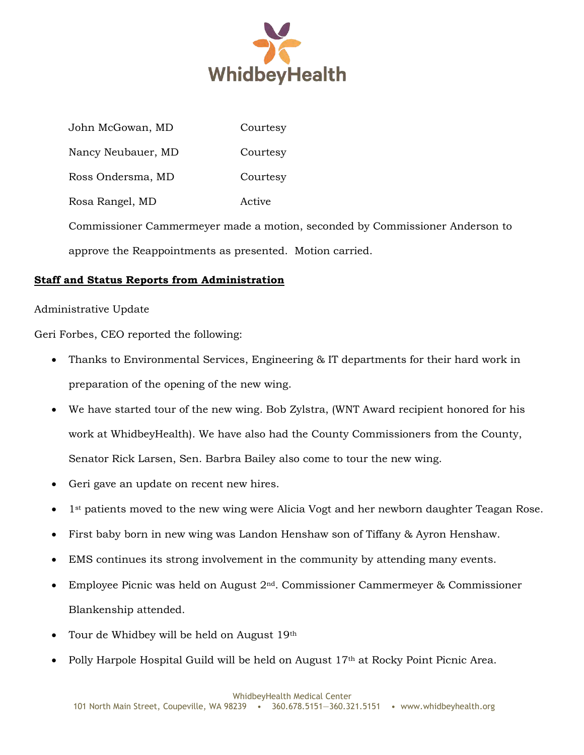

John McGowan, MD Courtesy Nancy Neubauer, MD Courtesy Ross Ondersma, MD Courtesy Rosa Rangel, MD Active Commissioner Cammermeyer made a motion, seconded by Commissioner Anderson to approve the Reappointments as presented. Motion carried.

# **Staff and Status Reports from Administration**

## Administrative Update

Geri Forbes, CEO reported the following:

- Thanks to Environmental Services, Engineering & IT departments for their hard work in preparation of the opening of the new wing.
- We have started tour of the new wing. Bob Zylstra, (WNT Award recipient honored for his work at WhidbeyHealth). We have also had the County Commissioners from the County, Senator Rick Larsen, Sen. Barbra Bailey also come to tour the new wing.
- Geri gave an update on recent new hires.
- 1st patients moved to the new wing were Alicia Vogt and her newborn daughter Teagan Rose.
- First baby born in new wing was Landon Henshaw son of Tiffany & Ayron Henshaw.
- EMS continues its strong involvement in the community by attending many events.
- Employee Picnic was held on August 2nd. Commissioner Cammermeyer & Commissioner Blankenship attended.
- Tour de Whidbey will be held on August 19th
- Polly Harpole Hospital Guild will be held on August 17th at Rocky Point Picnic Area.